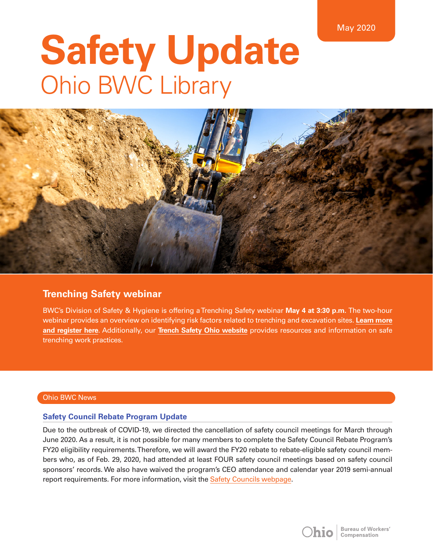# **Safety Update**  Ohio BWC Library



# **Trenching Safety webinar**

BWC's Division of Safety & Hygiene is offering a Trenching Safety webinar **May 4 at 3:30 p.m.** The two-hour webinar provides an overview on identifying risk factors related to trenching and excavation sites. **[Learn more](https://www.bwc.ohio.gov/downloads/blankpdf/TrenchingWebinar.pdf) [and register here](https://www.bwc.ohio.gov/downloads/blankpdf/TrenchingWebinar.pdf)**. Additionally, our **[Trench Safety Ohio website](https://info.bwc.ohio.gov/wps/portal/bwc/site/safety/safetycampaigns/trenchsafetycampaign/)** provides resources and information on safe trenching work practices.

# Ohio BWC News

# **Safety Council Rebate Program Update**

Due to the outbreak of COVID-19, we directed the cancellation of safety council meetings for March through June 2020. As a result, it is not possible for many members to complete the Safety Council Rebate Program's FY20 eligibility requirements. Therefore, we will award the FY20 rebate to rebate-eligible safety council members who, as of Feb. 29, 2020, had attended at least FOUR safety council meetings based on safety council sponsors' records. We also have waived the program's CEO attendance and calendar year 2019 semi-annual report requirements. For more information, visit the [Safety Councils webpage.](https://info.bwc.ohio.gov/wps/portal/bwc/site/safety/safety-councils/safety-councils/)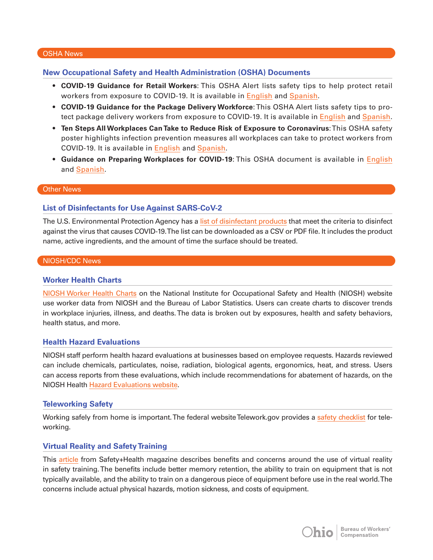#### OSHA News

# **New Occupational Safety and Health Administration (OSHA) Documents**

- **COVID-19 Guidance for Retail Workers**: This OSHA Alert lists safety tips to help protect retail workers from exposure to COVID-19. It is available in [English](https://www.osha.gov/Publications/OSHA3996.pdf) and [Spanish](https://www.osha.gov/Publications/OSHA3997.pdf).
- **COVID-19 Guidance for the Package Delivery Workforce**: This OSHA Alert lists safety tips to protect package delivery workers from exposure to COVID-19. It is available in [English](https://www.osha.gov/Publications/OSHA3998.pdf) and [Spanish](https://www.osha.gov/Publications/OSHA3999.pdf).
- **Ten Steps All Workplaces Can Take to Reduce Risk of Exposure to Coronavirus**: This OSHA safety poster highlights infection prevention measures all workplaces can take to protect workers from COVID-19. It is available in [English](https://www.osha.gov/Publications/OSHA3994.pdf) and [Spanish](https://www.osha.gov/Publications/OSHA3995.pdf).
- **Guidance on Preparing Workplaces for COVID-19**: This OSHA document is available in [English](https://www.osha.gov/Publications/OSHA3990.pdf) and [Spanish.](https://www.osha.gov/Publications/OSHA3992.pdf)

#### Other News

# **List of Disinfectants for Use Against SARS-CoV-2**

The U.S. Environmental Protection Agency has a [list of disinfectant products](https://www.epa.gov/pesticide-registration/list-n-disinfectants-use-against-sars-cov-2) that meet the criteria to disinfect against the virus that causes COVID-19. The list can be downloaded as a CSV or PDF file. It includes the product name, active ingredients, and the amount of time the surface should be treated.

#### NIOSH/CDC News

#### **Worker Health Charts**

[NIOSH Worker Health Charts](https://wwwn.cdc.gov/Niosh-whc/) on the National Institute for Occupational Safety and Health (NIOSH) website use worker data from NIOSH and the Bureau of Labor Statistics. Users can create charts to discover trends in workplace injuries, illness, and deaths. The data is broken out by exposures, health and safety behaviors, health status, and more.

#### **Health Hazard Evaluations**

NIOSH staff perform health hazard evaluations at businesses based on employee requests. Hazards reviewed can include chemicals, particulates, noise, radiation, biological agents, ergonomics, heat, and stress. Users can access reports from these evaluations, which include recommendations for abatement of hazards, on the NIOSH Health [Hazard Evaluations website](https://www.cdc.gov/niosh/hhe/default.html).

#### **Teleworking Safety**

Working safely from home is important. The federal website Telework.gov provides a [safety checklist](https://telework.gov/federal-community/telework-employees/safety-checklist/) for teleworking.

# **Virtual Reality and Safety Training**

This [article](https://www.safetyandhealthmagazine.com/articles/19440-virtual-reality-and-safety-training) from Safety+Health magazine describes benefits and concerns around the use of virtual reality in safety training. The benefits include better memory retention, the ability to train on equipment that is not typically available, and the ability to train on a dangerous piece of equipment before use in the real world. The concerns include actual physical hazards, motion sickness, and costs of equipment.